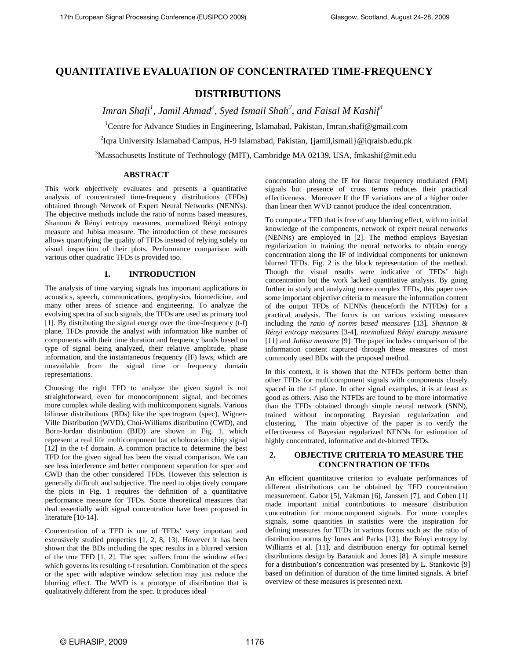# **QUANTITATIVE EVALUATION OF CONCENTRATED TIME-FREQUENCY**

# **DISTRIBUTIONS**

 *Imran Shafi<sup>1</sup> , Jamil Ahmad2 , Syed Ismail Shah<sup>2</sup> , and Faisal M Kashif3* 

<sup>1</sup>Centre for Advance Studies in Engineering, Islamabad, Pakistan, Imran.shafi@gmail.com

<sup>2</sup>Iqra University Islamabad Campus, H-9 Islamabad, Pakistan, {jamil,ismail}@iqraisb.edu.pk

 $3$ Massachusetts Institute of Technology (MIT), Cambridge MA 02139, USA, fmkashif@mit.edu

# **ABSTRACT**

This work objectively evaluates and presents a quantitative analysis of concentrated time-frequency distributions (TFDs) obtained through Network of Expert Neural Networks (NENNs). The objective methods include the ratio of norms based measures*,*  Shannon & Rényi entropy measures*,* normalized Rényi entropy measure and Jubisa measure. The introduction of these measures allows quantifying the quality of TFDs instead of relying solely on visual inspection of their plots. Performance comparison with various other quadratic TFDs is provided too.

# **1. INTRODUCTION**

The analysis of time varying signals has important applications in acoustics, speech, communications, geophysics, biomedicine, and many other areas of science and engineering. To analyze the evolving spectra of such signals, the TFDs are used as primary tool [1]. By distributing the signal energy over the time-frequency (t-f) plane, TFDs provide the analyst with information like number of components with their time duration and frequency bands based on type of signal being analyzed, their relative amplitude, phase information, and the instantaneous frequency (IF) laws, which are unavailable from the signal time or frequency domain representations.

Choosing the right TFD to analyze the given signal is not straightforward, even for monocomponent signal, and becomes more complex while dealing with multicomponent signals. Various bilinear distributions (BDs) like the spectrogram (spec), Wigner-Ville Distribution (WVD), Choi-Williams distribution (CWD), and Born-Jordan distribution (BJD) are shown in Fig. 1, which represent a real life multicomponent bat echolocation chirp signal [12] in the t-f domain. A common practice to determine the best TFD for the given signal has been the visual comparison. We can see less interference and better component separation for spec and CWD than the other considered TFDs. However this selection is generally difficult and subjective. The need to objectively compare the plots in Fig. 1 requires the definition of a quantitative performance measure for TFDs. Some theoretical measures that deal essentially with signal concentration have been proposed in literature [10-14].

Concentration of a TFD is one of TFDs' very important and extensively studied properties [1, 2, 8, 13]. However it has been shown that the BDs including the spec results in a blurred version of the true TFD [1, 2]. The spec suffers from the window effect which governs its resulting t-f resolution. Combination of the specs or the spec with adaptive window selection may just reduce the blurring effect. The WVD is a prototype of distribution that is qualitatively different from the spec. It produces ideal

concentration along the IF for linear frequency modulated (FM) signals but presence of cross terms reduces their practical effectiveness. Moreover If the IF variations are of a higher order than linear then WVD cannot produce the ideal concentration.

To compute a TFD that is free of any blurring effect, with no initial knowledge of the components, network of expert neural networks (NENNs) are employed in [2]. The method employs Bayesian regularization in training the neural networks to obtain energy concentration along the IF of individual components for unknown blurred TFDs. Fig. 2 is the block representation of the method. Though the visual results were indicative of TFDs' high concentration but the work lacked quantitative analysis. By going further in study and analyzing more complex TFDs, this paper uses some important objective criteria to measure the information content of the output TFDs of NENNs (henceforth the NTFDs) for a practical analysis. The focus is on various existing measures including the *ratio of norms based measures* [13], *Shannon & Rényi entropy measures* [3-4], *normalized Rényi entropy measure* [11] and *Jubisa measure* [9]. The paper includes comparison of the information content captured through these measures of most commonly used BDs with the proposed method.

In this context, it is shown that the NTFDs perform better than other TFDs for multicomponent signals with components closely spaced in the t-f plane. In other signal examples, it is at least as good as others. Also the NTFDs are found to be more informative than the TFDs obtained through simple neural network (SNN), trained without incorporating Bayesian regularization and clustering. The main objective of the paper is to verify the effectiveness of Bayesian regularized NENNs for estimation of highly concentrated, informative and de-blurred TFDs.

# **2. OBJECTIVE CRITERIA TO MEASURE THE CONCENTRATION OF TFDs**

An efficient quantitative criterion to evaluate performances of different distributions can be obtained by TFD concentration measurement. Gabor [5], Vakman [6], Janssen [7], and Cohen [1] made important initial contributions to measure distribution concentration for monocomponent signals. For more complex signals, some quantities in statistics were the inspiration for defining measures for TFDs in various forms such as: the ratio of distribution norms by Jones and Parks [13], the Rényi entropy by Williams et al. [11], and distribution energy for optimal kernel distributions design by Baraniuk and Jones [8]. A simple measure for a distribution's concentration was presented by L. Stankovic [9] based on definition of duration of the time limited signals. A brief overview of these measures is presented next.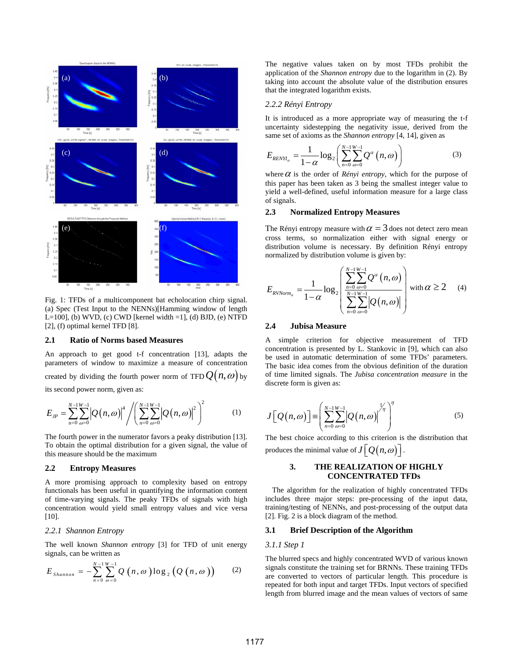

Fig. 1: TFDs of a multicomponent bat echolocation chirp signal. (a) Spec (Test Input to the NENNs)[Hamming window of length L=100], (b) WVD, (c) CWD [kernel width =1], (d) BJD, (e) NTFD [2], (f) optimal kernel TFD [8].

#### **2.1 Ratio of Norms based Measures**

An approach to get good t-f concentration [13], adapts the parameters of window to maximize a measure of concentration created by dividing the fourth power norm of TFD  $Q(n, \omega)$  by its second power norm, given as:

$$
E_{JP} = \sum_{n=0}^{N-1} \sum_{\omega=0}^{W-1} \left| Q(n, \omega) \right|^4 / \left( \sum_{n=0}^{N-1} \sum_{\omega=0}^{W-1} \left| Q(n, \omega) \right|^2 \right)^2 \tag{1}
$$

The fourth power in the numerator favors a peaky distribution [13]. To obtain the optimal distribution for a given signal, the value of this measure should be the maximum

#### **2.2 Entropy Measures**

A more promising approach to complexity based on entropy functionals has been useful in quantifying the information content of time-varying signals. The peaky TFDs of signals with high concentration would yield small entropy values and vice versa [10].

# *2.2.1 Shannon Entropy*

The well known *Shannon entropy* [3] for TFD of unit energy signals, can be written as

$$
E_{Shannon} = -\sum_{n=0}^{N-1}\sum_{\omega=0}^{W-1} Q\left(n,\omega\right)\log_2\left(Q\left(n,\omega\right)\right) \qquad (2)
$$

The negative values taken on by most TFDs prohibit the application of the *Shannon entropy* due to the logarithm in (2). By taking into account the absolute value of the distribution ensures that the integrated logarithm exists.

## *2.2.2 Rényi Entropy*

It is introduced as a more appropriate way of measuring the t-f uncertainty sidestepping the negativity issue, derived from the same set of axioms as the *Shannon entropy* [4, 14], given as

(c) 
$$
E_{RENH_a} = \frac{1}{1-\alpha} \log_2 \left( \sum_{n=0}^{N-1} \sum_{\omega=0}^{W-1} Q^{\alpha} (n, \omega) \right)
$$
 (3)

where  $\alpha$  is the order of *Rényi entropy*, which for the purpose of this paper has been taken as 3 being the smallest integer value to yield a well-defined, useful information measure for a large class of signals.

### **2.3 Normalized Entropy Measures**

The Rényi entropy measure with  $\alpha = 3$  does not detect zero mean cross terms, so normalization either with signal energy or distribution volume is necessary. By definition Rényi entropy normalized by distribution volume is given by:

$$
E_{\text{RVNorm}_{\alpha}} = \frac{1}{1-\alpha} \log_2 \left( \frac{\sum_{n=0}^{N-1} \sum_{\omega=0}^{W-1} Q^{\alpha} \left( n, \omega \right)}{\sum_{n=0}^{N-1} \sum_{\omega=0}^{W-1} \left| Q(n, \omega) \right|} \right) \text{ with } \alpha \ge 2 \quad (4)
$$

# **2.4 Jubisa Measure**

A simple criterion for objective measurement of TFD concentration is presented by L. Stankovic in [9], which can also be used in automatic determination of some TFDs' parameters. The basic idea comes from the obvious definition of the duration of time limited signals. The *Jubisa concentration measure* in the discrete form is given as:

$$
J\left[\mathcal{Q}\left(n,\omega\right)\right] = \left(\sum_{n=0}^{N-1} \sum_{\omega=0}^{W-1} \left|\mathcal{Q}\left(n,\omega\right)\right|^{1/n}\right)^{\eta}
$$
(5)

The best choice according to this criterion is the distribution that produces the minimal value of  $J[\overline{Q(n,\omega)}]$ .

# **3. THE REALIZATION OF HIGHLY CONCENTRATED TFDs**

 The algorithm for the realization of highly concentrated TFDs includes three major steps: pre-processing of the input data, training/testing of NENNs, and post-processing of the output data [2]. Fig. 2 is a block diagram of the method.

# **3.1 Brief Description of the Algorithm**

## *3.1.1 Step 1*

The blurred specs and highly concentrated WVD of various known signals constitute the training set for BRNNs. These training TFDs are converted to vectors of particular length. This procedure is repeated for both input and target TFDs. Input vectors of specified length from blurred image and the mean values of vectors of same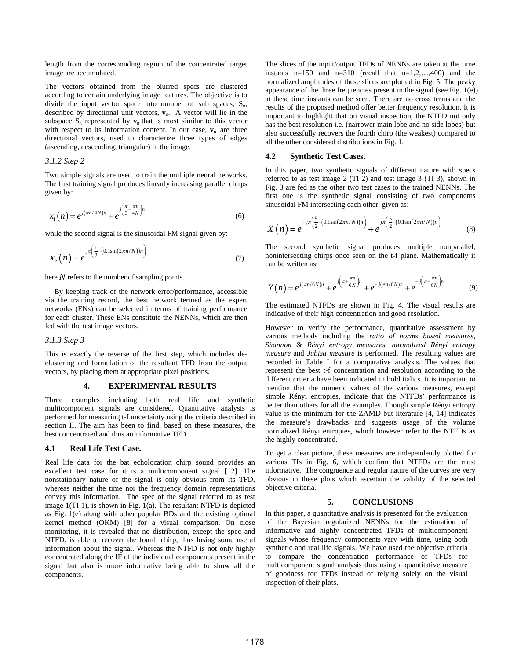length from the corresponding region of the concentrated target image are accumulated.

The vectors obtained from the blurred specs are clustered according to certain underlying image features. The objective is to divide the input vector space into number of sub spaces,  $S_n$ , described by directional unit vectors,  $v_n$ . A vector will lie in the subspace  $S_n$  represented by  $v_n$  that is most similar to this vector with respect to its information content. In our case,  $\mathbf{v}_n$  are three directional vectors, used to characterize three types of edges (ascending, descending, triangular) in the image.

# *3.1.2 Step 2*

Two simple signals are used to train the multiple neural networks. The first training signal produces linearly increasing parallel chirps given by:

$$
x_1(n) = e^{j(\pi n/4N)n} + e^{j\left(\frac{\pi}{3} + \frac{\pi n}{4N}\right)n}
$$
 (6)

while the second signal is the sinusoidal FM signal given by:

$$
x_2(n) = e^{j\pi\left(\frac{1}{2} - \left(0.1\sin(2\pi n/N)\right)n\right)}
$$
\n(7)

here  $N$  refers to the number of sampling points.

 By keeping track of the network error/performance, accessible via the training record, the best network termed as the expert networks (ENs) can be selected in terms of training performance for each cluster. These ENs constitute the NENNs, which are then fed with the test image vectors.

#### *3.1.3 Step 3*

This is exactly the reverse of the first step, which includes declustering and formulation of the resultant TFD from the output vectors, by placing them at appropriate pixel positions.

#### **4. EXPERIMENTAL RESULTS**

Three examples including both real life and synthetic multicomponent signals are considered. Quantitative analysis is performed for measuring t-f uncertainty using the criteria described in section II. The aim has been to find, based on these measures, the best concentrated and thus an informative TFD.

### **4.1 Real Life Test Case.**

Real life data for the bat echolocation chirp sound provides an excellent test case for it is a multicomponent signal [12]. The nonstationary nature of the signal is only obvious from its TFD, whereas neither the time nor the frequency domain representations convey this information. The spec of the signal referred to as test image 1(TI 1), is shown in Fig. 1(a). The resultant NTFD is depicted as Fig. 1(e) along with other popular BDs and the existing optimal kernel method (OKM) [8] for a visual comparison. On close monitoring, it is revealed that no distribution, except the spec and NTFD, is able to recover the fourth chirp, thus losing some useful information about the signal. Whereas the NTFD is not only highly concentrated along the IF of the individual components present in the signal but also is more informative being able to show all the components.

The slices of the input/output TFDs of NENNs are taken at the time instants n=150 and n=310 (recall that  $n=1,2,...,400$ ) and the normalized amplitudes of these slices are plotted in Fig. 5. The peaky appearance of the three frequencies present in the signal (see Fig. 1(e)) at these time instants can be seen. There are no cross terms and the results of the proposed method offer better frequency resolution. It is important to highlight that on visual inspection, the NTFD not only has the best resolution i.e. (narrower main lobe and no side lobes) but also successfully recovers the fourth chirp (the weakest) compared to all the other considered distributions in Fig. 1.

# **4.2 Synthetic Test Cases.**

In this paper, two synthetic signals of different nature with specs referred to as test image 2 (TI 2) and test image 3 (TI 3), shown in Fig. 3 are fed as the other two test cases to the trained NENNs. The first one is the synthetic signal consisting of two components sinusoidal FM intersecting each other, given as:

$$
X(n) = e^{-j\pi \left(\frac{5}{2} - (0.1\sin(2\pi n/N))n\right)} + e^{j\pi \left(\frac{5}{2} - (0.1\sin(2\pi n/N))n\right)}
$$
(8)

The second synthetic signal produces multiple nonparallel, nonintersecting chirps once seen on the t-f plane. Mathematically it can be written as:

$$
Y(n) = e^{j(\pi n/6N)n} + e^{j(\pi + \frac{\pi n}{6N})n} + e^{-j(\pi n/6N)n} + e^{-j(\pi + \frac{\pi n}{6N})n}
$$
(9)

The estimated NTFDs are shown in Fig. 4. The visual results are indicative of their high concentration and good resolution.

However to verify the performance, quantitative assessment by various methods including the *ratio of norms based measures*, *Shannon* & *Rényi entropy measures*, *normalized Rényi entropy measure* and *Jubisa measure* is performed. The resulting values are recorded in Table I for a comparative analysis. The values that represent the best t-f concentration and resolution according to the different criteria have been indicated in bold italics. It is important to mention that the numeric values of the various measures, except simple Rényi entropies, indicate that the NTFDs' performance is better than others for all the examples. Though simple Rényi entropy value is the minimum for the ZAMD but literature [4, 14] indicates the measure's drawbacks and suggests usage of the volume normalized Rényi entropies, which however refer to the NTFDs as the highly concentrated.

To get a clear picture, these measures are independently plotted for various TIs in Fig. 6, which confirm that NTFDs are the most informative. The congruence and regular nature of the curves are very obvious in these plots which ascertain the validity of the selected objective criteria.

## **5. CONCLUSIONS**

In this paper, a quantitative analysis is presented for the evaluation of the Bayesian regularized NENNs for the estimation of informative and highly concentrated TFDs of multicomponent signals whose frequency components vary with time, using both synthetic and real life signals. We have used the objective criteria to compare the concentration performance of TFDs for multicomponent signal analysis thus using a quantitative measure of goodness for TFDs instead of relying solely on the visual inspection of their plots.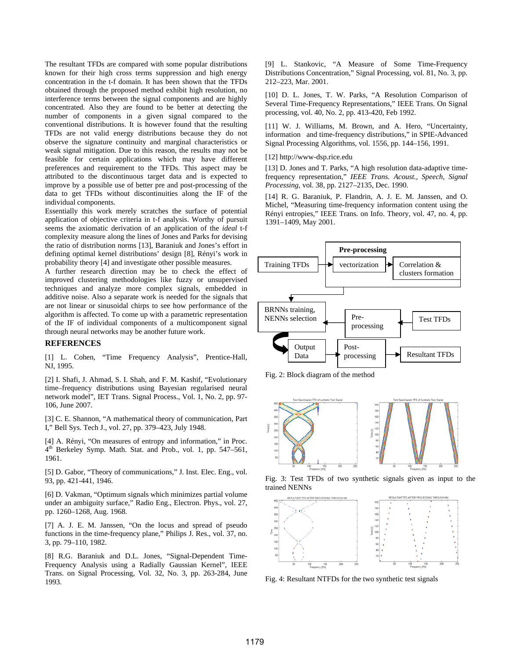The resultant TFDs are compared with some popular distributions known for their high cross terms suppression and high energy concentration in the t-f domain. It has been shown that the TFDs obtained through the proposed method exhibit high resolution, no interference terms between the signal components and are highly concentrated. Also they are found to be better at detecting the number of components in a given signal compared to the conventional distributions. It is however found that the resulting TFDs are not valid energy distributions because they do not observe the signature continuity and marginal characteristics or weak signal mitigation. Due to this reason, the results may not be feasible for certain applications which may have different preferences and requirement to the TFDs. This aspect may be attributed to the discontinuous target data and is expected to improve by a possible use of better pre and post-processing of the data to get TFDs without discontinuities along the IF of the individual components.

Essentially this work merely scratches the surface of potential application of objective criteria in t-f analysis. Worthy of pursuit seems the axiomatic derivation of an application of the *ideal* t-f complexity measure along the lines of Jones and Parks for devising the ratio of distribution norms [13], Baraniuk and Jones's effort in defining optimal kernel distributions' design [8], Rényi's work in probability theory [4] and investigate other possible measures.

A further research direction may be to check the effect of improved clustering methodologies like fuzzy or unsupervised techniques and analyze more complex signals, embedded in additive noise. Also a separate work is needed for the signals that are not linear or sinusoidal chirps to see how performance of the algorithm is affected. To come up with a parametric representation of the IF of individual components of a multicomponent signal through neural networks may be another future work.

# **REFERENCES**

[1] L. Cohen, "Time Frequency Analysis", Prentice-Hall, NJ, 1995.

[2] I. Shafi, J. Ahmad, S. I. Shah, and F. M. Kashif, "Evolutionary time–frequency distributions using Bayesian regularised neural network model", IET Trans. Signal Process., Vol. 1, No. 2, pp. 97- 106, June 2007.

[3] C. E. Shannon, "A mathematical theory of communication, Part I," Bell Sys. Tech J., vol. 27, pp. 379–423, July 1948.

[4] A. Rényi, "On measures of entropy and information," in Proc. 4<sup>th</sup> Berkeley Symp. Math. Stat. and Prob., vol. 1, pp. 547–561, 1961.

[5] D. Gabor, "Theory of communications," J. Inst. Elec. Eng., vol. 93, pp. 421-441, 1946.

[6] D. Vakman, "Optimum signals which minimizes partial volume under an ambiguity surface," Radio Eng., Electron. Phys., vol. 27, pp. 1260–1268, Aug. 1968.

[7] A. J. E. M. Janssen, "On the locus and spread of pseudo functions in the time-frequency plane," Philips J. Res., vol. 37, no. 3, pp. 79–110, 1982.

[8] R.G. Baraniuk and D.L. Jones, "Signal-Dependent Time-Frequency Analysis using a Radially Gaussian Kernel", IEEE Trans. on Signal Processing, Vol. 32, No. 3, pp. 263-284, June 1993.

[9] L. Stankovic, "A Measure of Some Time-Frequency Distributions Concentration," Signal Processing, vol. 81, No. 3, pp. 212–223, Mar. 2001.

[10] D. L. Jones, T. W. Parks, "A Resolution Comparison of Several Time-Frequency Representations," IEEE Trans. On Signal processing, vol. 40, No. 2, pp. 413-420, Feb 1992.

[11] W. J. Williams, M. Brown, and A. Hero, "Uncertainty, information and time-frequency distributions," in SPIE-Advanced Signal Processing Algorithms, vol. 1556, pp. 144–156, 1991.

[12] http://www-dsp.rice.edu

[13] D. Jones and T. Parks, "A high resolution data-adaptive timefrequency representation," *IEEE Trans. Acoust., Speech, Signal Processing*, vol. 38, pp. 2127–2135, Dec. 1990.

[14] R. G. Baraniuk, P. Flandrin, A. J. E. M. Janssen, and O. Michel, "Measuring time-frequency information content using the Rényi entropies," IEEE Trans. on Info. Theory, vol. 47, no. 4, pp. 1391–1409, May 2001.



Fig. 2: Block diagram of the method



Fig. 3: Test TFDs of two synthetic signals given as input to the trained NENNs



Fig. 4: Resultant NTFDs for the two synthetic test signals